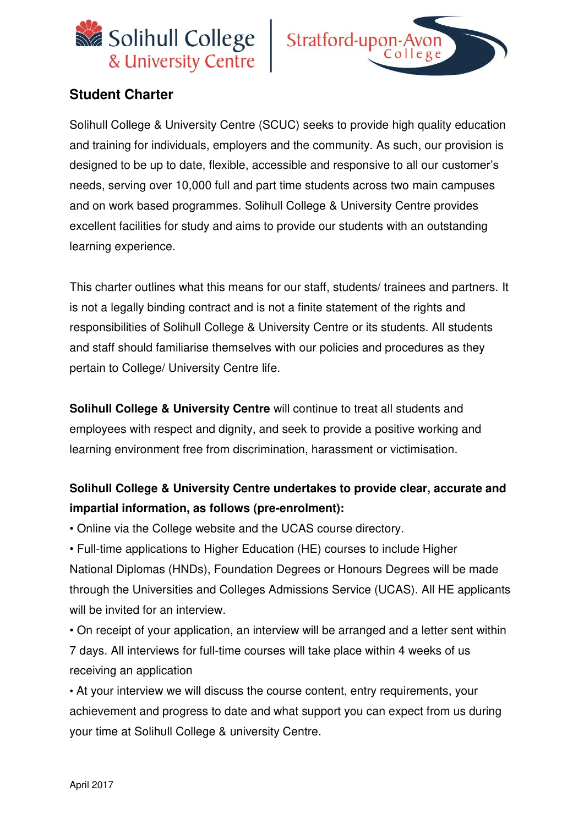



## **Student Charter**

Solihull College & University Centre (SCUC) seeks to provide high quality education and training for individuals, employers and the community. As such, our provision is designed to be up to date, flexible, accessible and responsive to all our customer's needs, serving over 10,000 full and part time students across two main campuses and on work based programmes. Solihull College & University Centre provides excellent facilities for study and aims to provide our students with an outstanding learning experience.

This charter outlines what this means for our staff, students/ trainees and partners. It is not a legally binding contract and is not a finite statement of the rights and responsibilities of Solihull College & University Centre or its students. All students and staff should familiarise themselves with our policies and procedures as they pertain to College/ University Centre life.

**Solihull College & University Centre** will continue to treat all students and employees with respect and dignity, and seek to provide a positive working and learning environment free from discrimination, harassment or victimisation.

# **Solihull College & University Centre undertakes to provide clear, accurate and impartial information, as follows (pre-enrolment):**

• Online via the College website and the UCAS course directory.

• Full-time applications to Higher Education (HE) courses to include Higher National Diplomas (HNDs), Foundation Degrees or Honours Degrees will be made through the Universities and Colleges Admissions Service (UCAS). All HE applicants will be invited for an interview.

• On receipt of your application, an interview will be arranged and a letter sent within 7 days. All interviews for full-time courses will take place within 4 weeks of us receiving an application

• At your interview we will discuss the course content, entry requirements, your achievement and progress to date and what support you can expect from us during your time at Solihull College & university Centre.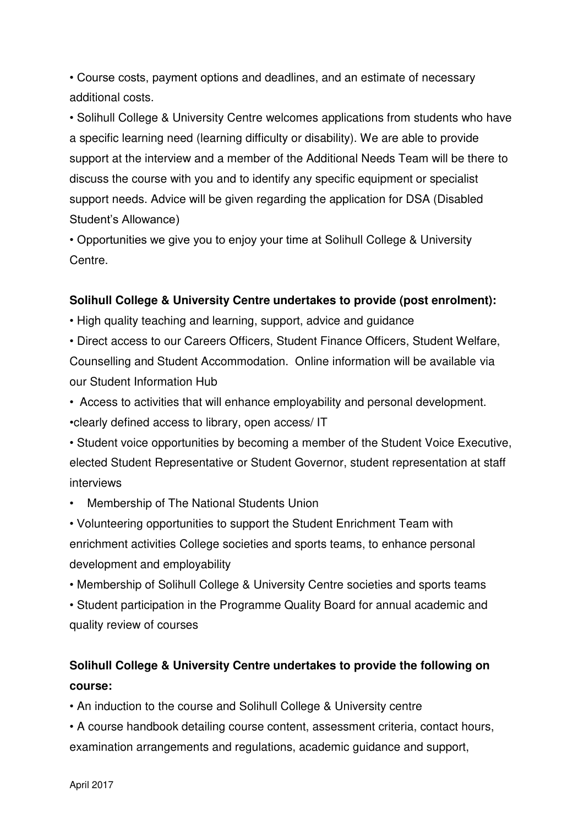• Course costs, payment options and deadlines, and an estimate of necessary additional costs.

• Solihull College & University Centre welcomes applications from students who have a specific learning need (learning difficulty or disability). We are able to provide support at the interview and a member of the Additional Needs Team will be there to discuss the course with you and to identify any specific equipment or specialist support needs. Advice will be given regarding the application for DSA (Disabled Student's Allowance)

• Opportunities we give you to enjoy your time at Solihull College & University Centre.

### **Solihull College & University Centre undertakes to provide (post enrolment):**

• High quality teaching and learning, support, advice and guidance

• Direct access to our Careers Officers, Student Finance Officers, Student Welfare, Counselling and Student Accommodation. Online information will be available via our Student Information Hub

• Access to activities that will enhance employability and personal development. •clearly defined access to library, open access/ IT

• Student voice opportunities by becoming a member of the Student Voice Executive, elected Student Representative or Student Governor, student representation at staff interviews

• Membership of The National Students Union

• Volunteering opportunities to support the Student Enrichment Team with enrichment activities College societies and sports teams, to enhance personal development and employability

• Membership of Solihull College & University Centre societies and sports teams

• Student participation in the Programme Quality Board for annual academic and quality review of courses

# **Solihull College & University Centre undertakes to provide the following on course:**

• An induction to the course and Solihull College & University centre

• A course handbook detailing course content, assessment criteria, contact hours, examination arrangements and regulations, academic guidance and support,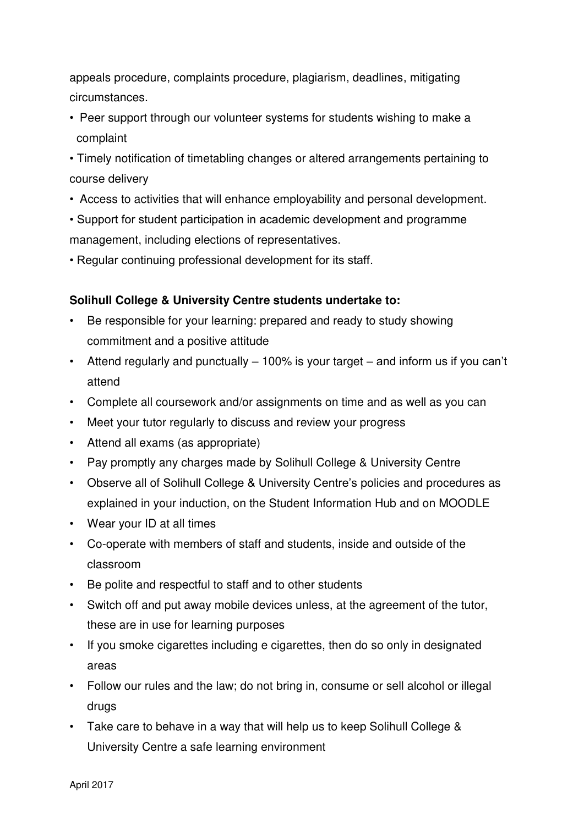appeals procedure, complaints procedure, plagiarism, deadlines, mitigating circumstances.

- Peer support through our volunteer systems for students wishing to make a complaint
- Timely notification of timetabling changes or altered arrangements pertaining to course delivery
- Access to activities that will enhance employability and personal development.
- Support for student participation in academic development and programme management, including elections of representatives.
- Regular continuing professional development for its staff.

### **Solihull College & University Centre students undertake to:**

- Be responsible for your learning: prepared and ready to study showing commitment and a positive attitude
- Attend regularly and punctually 100% is your target and inform us if you can't attend
- Complete all coursework and/or assignments on time and as well as you can
- Meet your tutor regularly to discuss and review your progress
- Attend all exams (as appropriate)
- Pay promptly any charges made by Solihull College & University Centre
- Observe all of Solihull College & University Centre's policies and procedures as explained in your induction, on the Student Information Hub and on MOODLE
- Wear your ID at all times
- Co-operate with members of staff and students, inside and outside of the classroom
- Be polite and respectful to staff and to other students
- Switch off and put away mobile devices unless, at the agreement of the tutor, these are in use for learning purposes
- If you smoke cigarettes including e cigarettes, then do so only in designated areas
- Follow our rules and the law; do not bring in, consume or sell alcohol or illegal drugs
- Take care to behave in a way that will help us to keep Solihull College & University Centre a safe learning environment